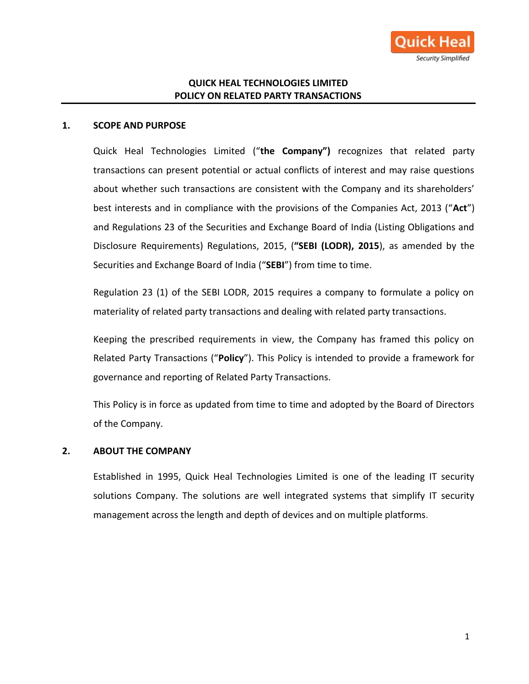

# **QUICK HEAL TECHNOLOGIES LIMITED POLICY ON RELATED PARTY TRANSACTIONS**

#### **1. SCOPE AND PURPOSE**

Quick Heal Technologies Limited ("**the Company")** recognizes that related party transactions can present potential or actual conflicts of interest and may raise questions about whether such transactions are consistent with the Company and its shareholders' best interests and in compliance with the provisions of the Companies Act, 2013 ("**Act**") and Regulations 23 of the Securities and Exchange Board of India (Listing Obligations and Disclosure Requirements) Regulations, 2015, (**"SEBI (LODR), 2015**), as amended by the Securities and Exchange Board of India ("**SEBI**") from time to time.

Regulation 23 (1) of the SEBI LODR, 2015 requires a company to formulate a policy on materiality of related party transactions and dealing with related party transactions.

Keeping the prescribed requirements in view, the Company has framed this policy on Related Party Transactions ("**Policy**"). This Policy is intended to provide a framework for governance and reporting of Related Party Transactions.

This Policy is in force as updated from time to time and adopted by the Board of Directors of the Company.

#### **2. ABOUT THE COMPANY**

Established in 1995, Quick Heal Technologies Limited is one of the leading IT security solutions Company. The solutions are well integrated systems that simplify IT security management across the length and depth of devices and on multiple platforms.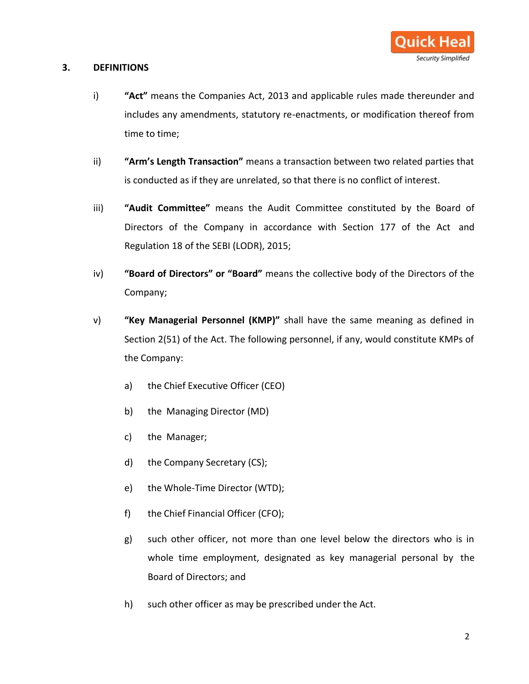#### **3. DEFINITIONS**

- i) **"Act"** means the Companies Act, 2013 and applicable rules made thereunder and includes any amendments, statutory re-enactments, or modification thereof from time to time;
- ii) **"Arm's Length Transaction"** means a transaction between two related parties that is conducted as if they are unrelated, so that there is no conflict of interest.
- iii) **"Audit Committee"** means the Audit Committee constituted by the Board of Directors of the Company in accordance with Section 177 of the Act and Regulation 18 of the SEBI (LODR), 2015;
- iv) **"Board of Directors" or "Board"** means the collective body of the Directors of the Company;
- v) **"Key Managerial Personnel (KMP)"** shall have the same meaning as defined in Section 2(51) of the Act. The following personnel, if any, would constitute KMPs of the Company:
	- a) the Chief Executive Officer (CEO)
	- b) the Managing Director (MD)
	- c) the Manager;
	- d) the Company Secretary (CS);
	- e) the Whole-Time Director (WTD);
	- f) the Chief Financial Officer (CFO);
	- g) such other officer, not more than one level below the directors who is in whole time employment, designated as key managerial personal by the Board of Directors; and
	- h) such other officer as may be prescribed under the Act.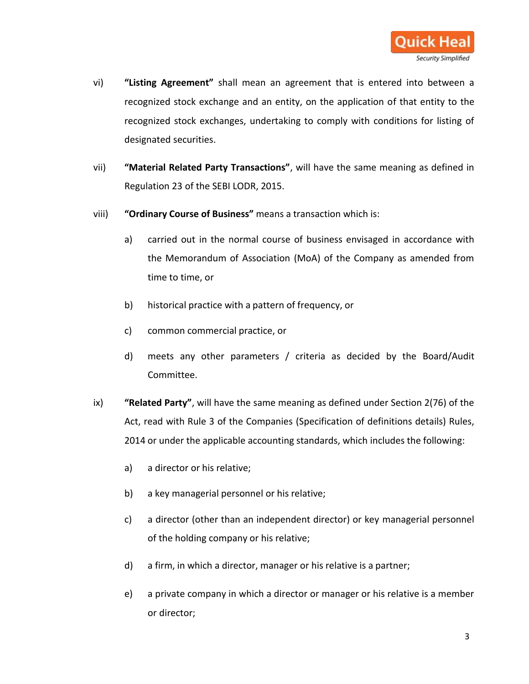

- vi) **"Listing Agreement"** shall mean an agreement that is entered into between a recognized stock exchange and an entity, on the application of that entity to the recognized stock exchanges, undertaking to comply with conditions for listing of designated securities.
- vii) **"Material Related Party Transactions"**, will have the same meaning as defined in Regulation 23 of the SEBI LODR, 2015.
- viii) **"Ordinary Course of Business"** means a transaction which is:
	- a) carried out in the normal course of business envisaged in accordance with the Memorandum of Association (MoA) of the Company as amended from time to time, or
	- b) historical practice with a pattern of frequency, or
	- c) common commercial practice, or
	- d) meets any other parameters / criteria as decided by the Board/Audit Committee.
- ix) **"Related Party"**, will have the same meaning as defined under Section 2(76) of the Act, read with Rule 3 of the Companies (Specification of definitions details) Rules, 2014 or under the applicable accounting standards, which includes the following:
	- a) a director or his relative;
	- b) a key managerial personnel or his relative;
	- c) a director (other than an independent director) or key managerial personnel of the holding company or his relative;
	- d) a firm, in which a director, manager or his relative is a partner;
	- e) a private company in which a director or manager or his relative is a member or director;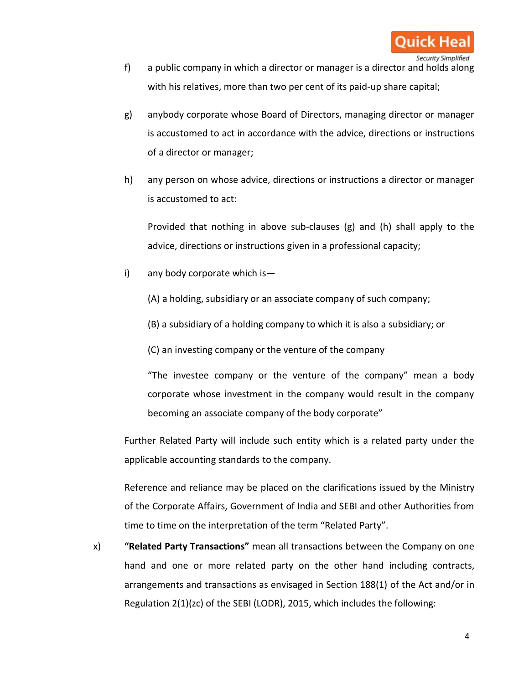- Security Simplified f) a public company in which a director or manager is a director and holds along with his relatives, more than two per cent of its paid-up share capital;
- g) anybody corporate whose Board of Directors, managing director or manager is accustomed to act in accordance with the advice, directions or instructions of a director or manager;
- h) any person on whose advice, directions or instructions a director or manager is accustomed to act:

Provided that nothing in above sub-clauses (g) and (h) shall apply to the advice, directions or instructions given in a professional capacity;

i) any body corporate which is—

(A) a holding, subsidiary or an associate company of such company;

- (B) a subsidiary of a holding company to which it is also a subsidiary; or
- (C) an investing company or the venture of the company

"The investee company or the venture of the company" mean a body corporate whose investment in the company would result in the company becoming an associate company of the body corporate"

Further Related Party will include such entity which is a related party under the applicable accounting standards to the company.

Reference and reliance may be placed on the clarifications issued by the Ministry of the Corporate Affairs, Government of India and SEBI and other Authorities from time to time on the interpretation of the term "Related Party".

x) **"Related Party Transactions"** mean all transactions between the Company on one hand and one or more related party on the other hand including contracts, arrangements and transactions as envisaged in Section 188(1) of the Act and/or in Regulation 2(1)(zc) of the SEBI (LODR), 2015, which includes the following: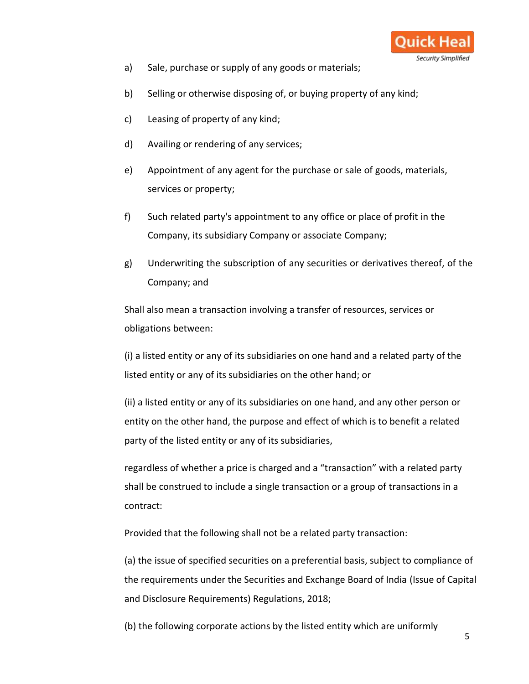

- a) Sale, purchase or supply of any goods or materials;
- b) Selling or otherwise disposing of, or buying property of any kind;
- c) Leasing of property of any kind;
- d) Availing or rendering of any services;
- e) Appointment of any agent for the purchase or sale of goods, materials, services or property;
- f) Such related party's appointment to any office or place of profit in the Company, its subsidiary Company or associate Company;
- g) Underwriting the subscription of any securities or derivatives thereof, of the Company; and

Shall also mean a transaction involving a transfer of resources, services or obligations between:

(i) a listed entity or any of its subsidiaries on one hand and a related party of the listed entity or any of its subsidiaries on the other hand; or

(ii) a listed entity or any of its subsidiaries on one hand, and any other person or entity on the other hand, the purpose and effect of which is to benefit a related party of the listed entity or any of its subsidiaries,

regardless of whether a price is charged and a "transaction" with a related party shall be construed to include a single transaction or a group of transactions in a contract:

Provided that the following shall not be a related party transaction:

(a) the issue of specified securities on a preferential basis, subject to compliance of the requirements under the Securities and Exchange Board of India (Issue of Capital and Disclosure Requirements) Regulations, 2018;

(b) the following corporate actions by the listed entity which are uniformly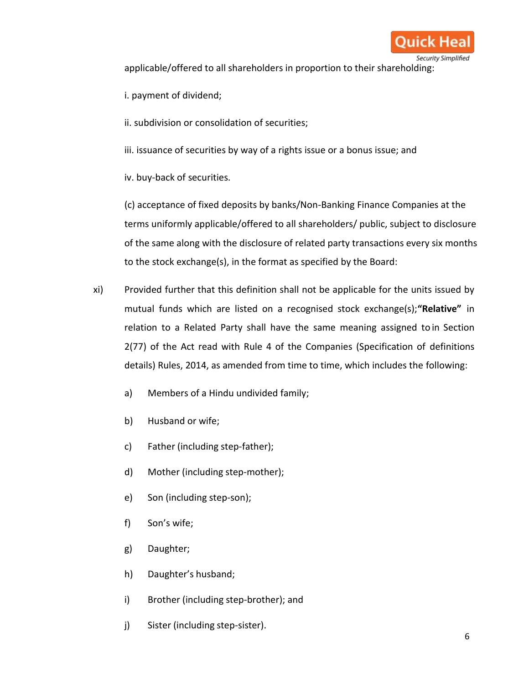

applicable/offered to all shareholders in proportion to their shareholding:

- i. payment of dividend;
- ii. subdivision or consolidation of securities;
- iii. issuance of securities by way of a rights issue or a bonus issue; and

iv. buy-back of securities.

(c) acceptance of fixed deposits by banks/Non-Banking Finance Companies at the terms uniformly applicable/offered to all shareholders/ public, subject to disclosure of the same along with the disclosure of related party transactions every six months to the stock exchange(s), in the format as specified by the Board:

- xi) Provided further that this definition shall not be applicable for the units issued by mutual funds which are listed on a recognised stock exchange(s);**"Relative"** in relation to a Related Party shall have the same meaning assigned to in Section 2(77) of the Act read with Rule 4 of the Companies (Specification of definitions details) Rules, 2014, as amended from time to time, which includes the following:
	- a) Members of a Hindu undivided family;
	- b) Husband or wife;
	- c) Father (including step-father);
	- d) Mother (including step-mother);
	- e) Son (including step-son);
	- f) Son's wife;
	- g) Daughter;
	- h) Daughter's husband;
	- i) Brother (including step-brother); and
	- j) Sister (including step-sister).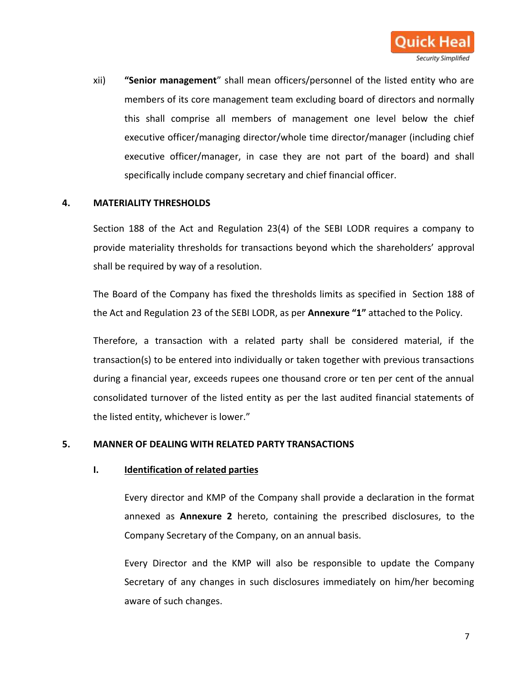

<span id="page-6-0"></span>xii) **"Senior management**" shall mean officers/personnel of the listed entity who are members of its core management team excluding board of directors and normally this shall comprise all members of management one level below the chief executive officer/managing director/whole time director/manager (including chief executive officer/manager, in case they are not part of the board) and shall specifically include company secretary and chief financial officer.

#### **4. MATERIALITY THRESHOLDS**

Section 188 of the Act and Regulation 23(4) of the SEBI LODR requires a company to provide materiality thresholds for transactions beyond which the shareholders' approval shall be required by way of a resolution.

The Board of the Company has fixed the thresholds limits as specified in Section 188 of the Act and Regulation 23 of the SEBI LODR, as per **Annexure "1"** attached to the Policy.

Therefore, a transaction with a related party shall be considered material, if the transaction(s) to be entered into individually or taken together with previous transactions during a financial year, exceeds rupees one thousand crore or ten per cent of the annual consolidated turnover of the listed entity as per the last audited financial statements of the listed entity, whichever is lower."

#### **5. MANNER OF DEALING WITH RELATED PARTY TRANSACTIONS**

#### **I. Identification of related parties**

Every director and KMP of the Company shall provide a declaration in the format annexed as **Annexure 2** hereto, containing the prescribed disclosures, to the Company Secretary of the Company, on an annual basis.

Every Director and the KMP will also be responsible to update the Company Secretary of any changes in such disclosures immediately on him/her becoming aware of such changes.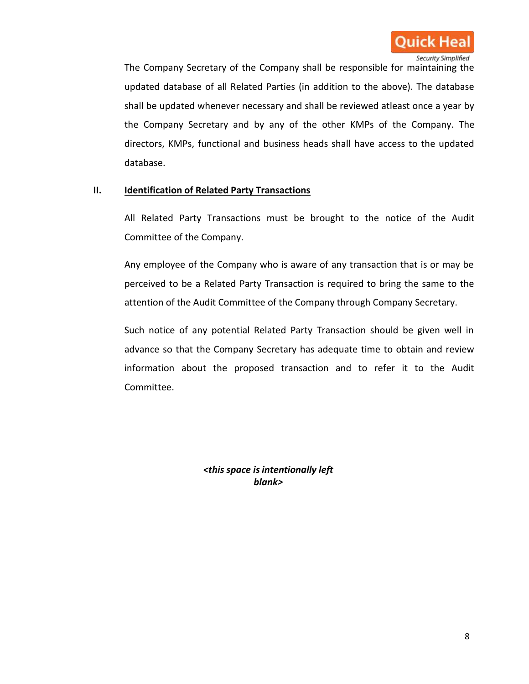

The Company Secretary of the Company shall be responsible for maintaining the updated database of all Related Parties (in addition to the above). The database shall be updated whenever necessary and shall be reviewed atleast once a year by the Company Secretary and by any of the other KMPs of the Company. The directors, KMPs, functional and business heads shall have access to the updated database.

## **II. Identification of Related Party Transactions**

All Related Party Transactions must be brought to the notice of the Audit Committee of the Company.

Any employee of the Company who is aware of any transaction that is or may be perceived to be a Related Party Transaction is required to bring the same to the attention of the Audit Committee of the Company through Company Secretary.

Such notice of any potential Related Party Transaction should be given well in advance so that the Company Secretary has adequate time to obtain and review information about the proposed transaction and to refer it to the Audit Committee.

> *<this space is intentionally left blank>*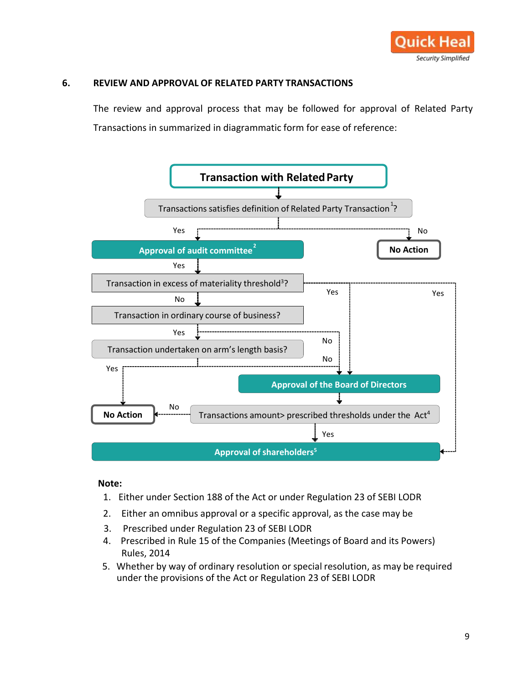

## **6. REVIEW AND APPROVAL OF RELATED PARTY TRANSACTIONS**

The review and approval process that may be followed for approval of Related Party Transactions in summarized in diagrammatic form for ease of reference:



#### **Note:**

- 1. Either under Section 188 of the Act or under Regulation 23 of SEBI LODR
- 2. Either an omnibus approval or a specific approval, as the case may be
- 3. Prescribed under Regulation 23 of SEBI LODR
- 4. Prescribed in Rule 15 of the Companies (Meetings of Board and its Powers) Rules, 2014
- 5. Whether by way of ordinary resolution or special resolution, as may be required under the provisions of the Act or Regulation 23 of SEBI LODR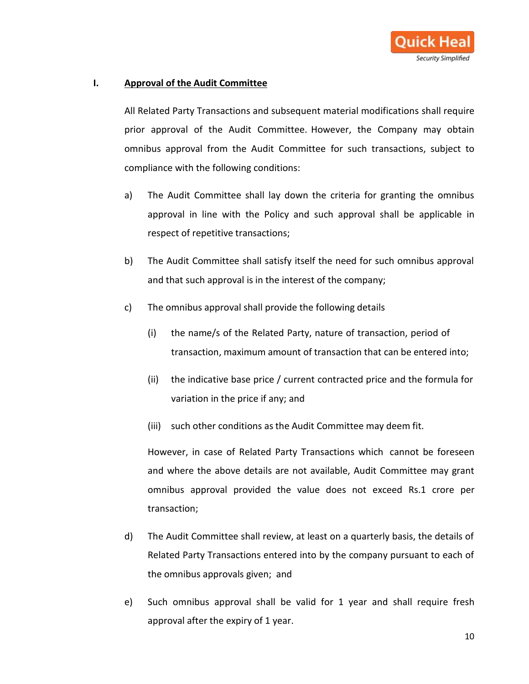

## **I. Approval of the Audit Committee**

All Related Party Transactions and subsequent material modifications shall require prior approval of the Audit Committee. However, the Company may obtain omnibus approval from the Audit Committee for such transactions, subject to compliance with the following conditions:

- a) The Audit Committee shall lay down the criteria for granting the omnibus approval in line with the Policy and such approval shall be applicable in respect of repetitive transactions;
- b) The Audit Committee shall satisfy itself the need for such omnibus approval and that such approval is in the interest of the company;
- c) The omnibus approval shall provide the following details
	- (i) the name/s of the Related Party, nature of transaction, period of transaction, maximum amount of transaction that can be entered into;
	- (ii) the indicative base price / current contracted price and the formula for variation in the price if any; and
	- (iii) such other conditions asthe Audit Committee may deem fit.

However, in case of Related Party Transactions which cannot be foreseen and where the above details are not available, Audit Committee may grant omnibus approval provided the value does not exceed Rs.1 crore per transaction;

- d) The Audit Committee shall review, at least on a quarterly basis, the details of Related Party Transactions entered into by the company pursuant to each of the omnibus approvals given; and
- e) Such omnibus approval shall be valid for 1 year and shall require fresh approval after the expiry of 1 year.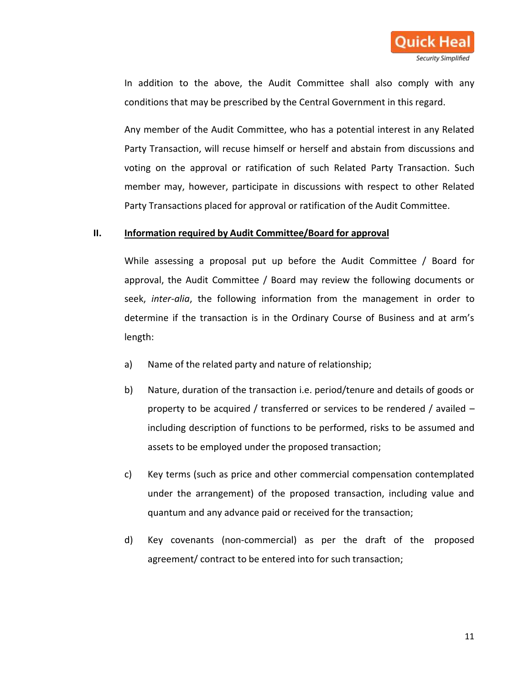

In addition to the above, the Audit Committee shall also comply with any conditions that may be prescribed by the Central Government in this regard.

Any member of the Audit Committee, who has a potential interest in any Related Party Transaction, will recuse himself or herself and abstain from discussions and voting on the approval or ratification of such Related Party Transaction. Such member may, however, participate in discussions with respect to other Related Party Transactions placed for approval or ratification of the Audit Committee.

#### **II. Information required by Audit Committee/Board for approval**

While assessing a proposal put up before the Audit Committee / Board for approval, the Audit Committee / Board may review the following documents or seek, *inter-alia*, the following information from the management in order to determine if the transaction is in the Ordinary Course of Business and at arm's length:

- a) Name of the related party and nature of relationship;
- b) Nature, duration of the transaction i.e. period/tenure and details of goods or property to be acquired / transferred or services to be rendered / availed – including description of functions to be performed, risks to be assumed and assets to be employed under the proposed transaction;
- c) Key terms (such as price and other commercial compensation contemplated under the arrangement) of the proposed transaction, including value and quantum and any advance paid or received for the transaction;
- d) Key covenants (non-commercial) as per the draft of the proposed agreement/ contract to be entered into for such transaction;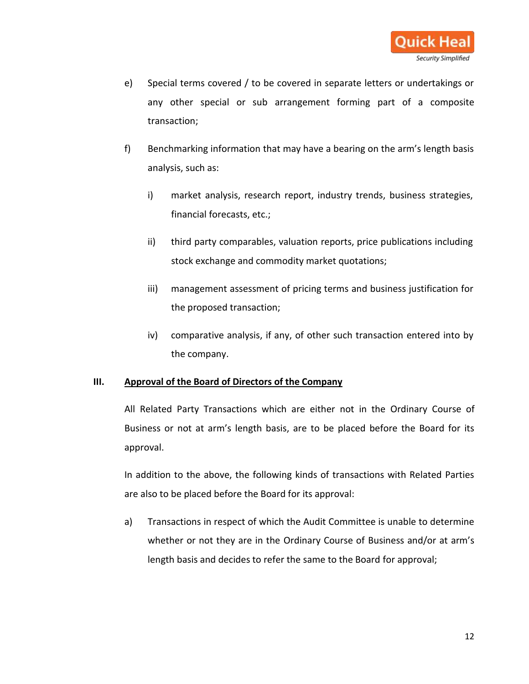

- e) Special terms covered / to be covered in separate letters or undertakings or any other special or sub arrangement forming part of a composite transaction;
- f) Benchmarking information that may have a bearing on the arm's length basis analysis, such as:
	- i) market analysis, research report, industry trends, business strategies, financial forecasts, etc.;
	- ii) third party comparables, valuation reports, price publications including stock exchange and commodity market quotations;
	- iii) management assessment of pricing terms and business justification for the proposed transaction;
	- iv) comparative analysis, if any, of other such transaction entered into by the company.

## **III. Approval of the Board of Directors of the Company**

All Related Party Transactions which are either not in the Ordinary Course of Business or not at arm's length basis, are to be placed before the Board for its approval.

In addition to the above, the following kinds of transactions with Related Parties are also to be placed before the Board for its approval:

a) Transactions in respect of which the Audit Committee is unable to determine whether or not they are in the Ordinary Course of Business and/or at arm's length basis and decides to refer the same to the Board for approval;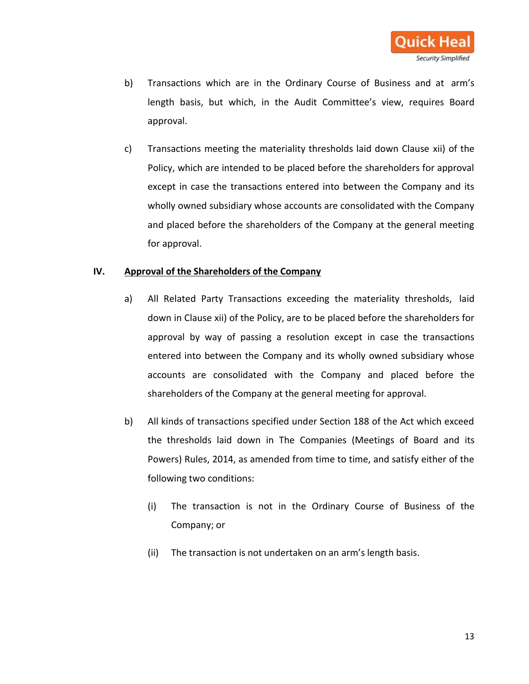

- b) Transactions which are in the Ordinary Course of Business and at arm's length basis, but which, in the Audit Committee's view, requires Board approval.
- c) Transactions meeting the materiality thresholds laid down Clause [xii\) o](#page-6-0)f the Policy, which are intended to be placed before the shareholders for approval except in case the transactions entered into between the Company and its wholly owned subsidiary whose accounts are consolidated with the Company and placed before the shareholders of the Company at the general meeting for approval.

#### **IV. Approval of the Shareholders of the Company**

- a) All Related Party Transactions exceeding the materiality thresholds, laid down in Clause [xii\) o](#page-6-0)f the Policy, are to be placed before the shareholders for approval by way of passing a resolution except in case the transactions entered into between the Company and its wholly owned subsidiary whose accounts are consolidated with the Company and placed before the shareholders of the Company at the general meeting for approval.
- b) All kinds of transactions specified under Section 188 of the Act which exceed the thresholds laid down in The Companies (Meetings of Board and its Powers) Rules, 2014, as amended from time to time, and satisfy either of the following two conditions:
	- (i) The transaction is not in the Ordinary Course of Business of the Company; or
	- (ii) The transaction is not undertaken on an arm's length basis.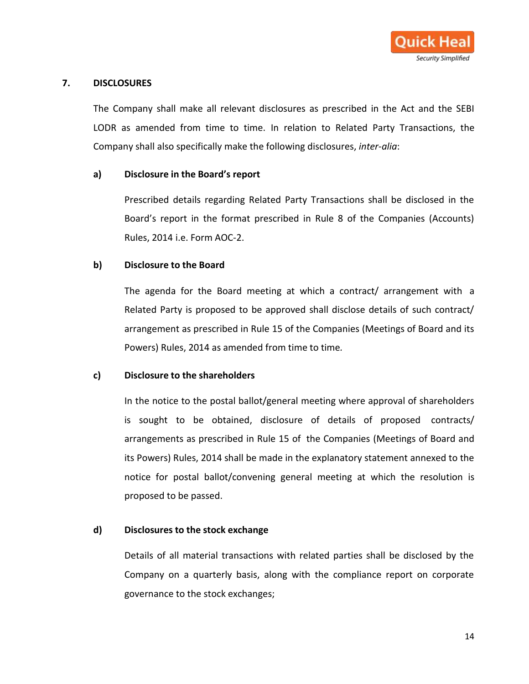

## **7. DISCLOSURES**

The Company shall make all relevant disclosures as prescribed in the Act and the SEBI LODR as amended from time to time. In relation to Related Party Transactions, the Company shall also specifically make the following disclosures, *inter-alia*:

## **a) Disclosure in the Board's report**

Prescribed details regarding Related Party Transactions shall be disclosed in the Board's report in the format prescribed in Rule 8 of the Companies (Accounts) Rules, 2014 i.e. Form AOC-2.

## **b) Disclosure to the Board**

The agenda for the Board meeting at which a contract/ arrangement with a Related Party is proposed to be approved shall disclose details of such contract/ arrangement as prescribed in Rule 15 of the Companies (Meetings of Board and its Powers) Rules, 2014 as amended from time to time*.*

## **c) Disclosure to the shareholders**

In the notice to the postal ballot/general meeting where approval of shareholders is sought to be obtained, disclosure of details of proposed contracts/ arrangements as prescribed in Rule 15 of the Companies (Meetings of Board and its Powers) Rules, 2014 shall be made in the explanatory statement annexed to the notice for postal ballot/convening general meeting at which the resolution is proposed to be passed.

## **d) Disclosures to the stock exchange**

Details of all material transactions with related parties shall be disclosed by the Company on a quarterly basis, along with the compliance report on corporate governance to the stock exchanges;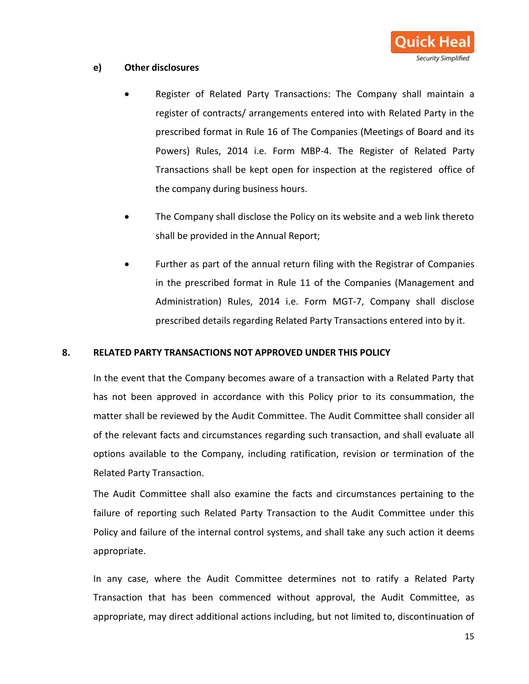

## **e) Other disclosures**

- Register of Related Party Transactions: The Company shall maintain a register of contracts/ arrangements entered into with Related Party in the prescribed format in Rule 16 of The Companies (Meetings of Board and its Powers) Rules, 2014 i.e. Form MBP-4. The Register of Related Party Transactions shall be kept open for inspection at the registered office of the company during business hours.
- The Company shall disclose the Policy on its website and a web link thereto shall be provided in the Annual Report;
- Further as part of the annual return filing with the Registrar of Companies in the prescribed format in Rule 11 of the Companies (Management and Administration) Rules, 2014 i.e. Form MGT-7, Company shall disclose prescribed details regarding Related Party Transactions entered into by it.

## **8. RELATED PARTY TRANSACTIONS NOT APPROVED UNDER THIS POLICY**

In the event that the Company becomes aware of a transaction with a Related Party that has not been approved in accordance with this Policy prior to its consummation, the matter shall be reviewed by the Audit Committee. The Audit Committee shall consider all of the relevant facts and circumstances regarding such transaction, and shall evaluate all options available to the Company, including ratification, revision or termination of the Related Party Transaction.

The Audit Committee shall also examine the facts and circumstances pertaining to the failure of reporting such Related Party Transaction to the Audit Committee under this Policy and failure of the internal control systems, and shall take any such action it deems appropriate.

In any case, where the Audit Committee determines not to ratify a Related Party Transaction that has been commenced without approval, the Audit Committee, as appropriate, may direct additional actions including, but not limited to, discontinuation of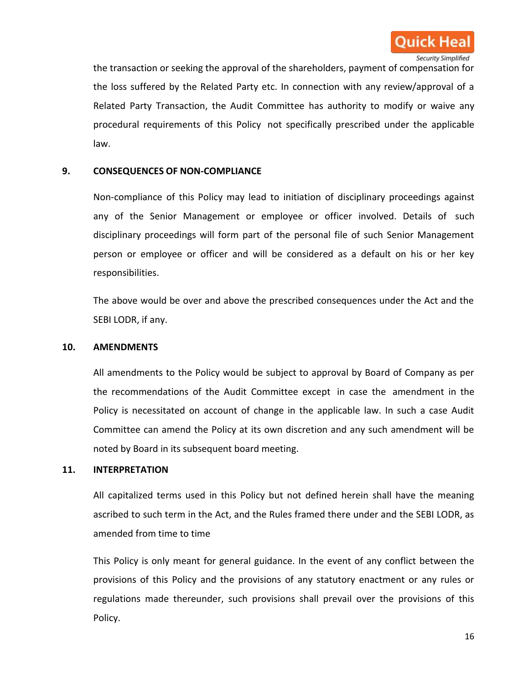

the transaction or seeking the approval of the shareholders, payment of compensation for the loss suffered by the Related Party etc. In connection with any review/approval of a Related Party Transaction, the Audit Committee has authority to modify or waive any procedural requirements of this Policy not specifically prescribed under the applicable law.

## **9. CONSEQUENCES OF NON-COMPLIANCE**

Non-compliance of this Policy may lead to initiation of disciplinary proceedings against any of the Senior Management or employee or officer involved. Details of such disciplinary proceedings will form part of the personal file of such Senior Management person or employee or officer and will be considered as a default on his or her key responsibilities.

The above would be over and above the prescribed consequences under the Act and the SEBI LODR, if any.

#### **10. AMENDMENTS**

All amendments to the Policy would be subject to approval by Board of Company as per the recommendations of the Audit Committee except in case the amendment in the Policy is necessitated on account of change in the applicable law. In such a case Audit Committee can amend the Policy at its own discretion and any such amendment will be noted by Board in its subsequent board meeting.

#### **11. INTERPRETATION**

All capitalized terms used in this Policy but not defined herein shall have the meaning ascribed to such term in the Act, and the Rules framed there under and the SEBI LODR, as amended from time to time

This Policy is only meant for general guidance. In the event of any conflict between the provisions of this Policy and the provisions of any statutory enactment or any rules or regulations made thereunder, such provisions shall prevail over the provisions of this Policy.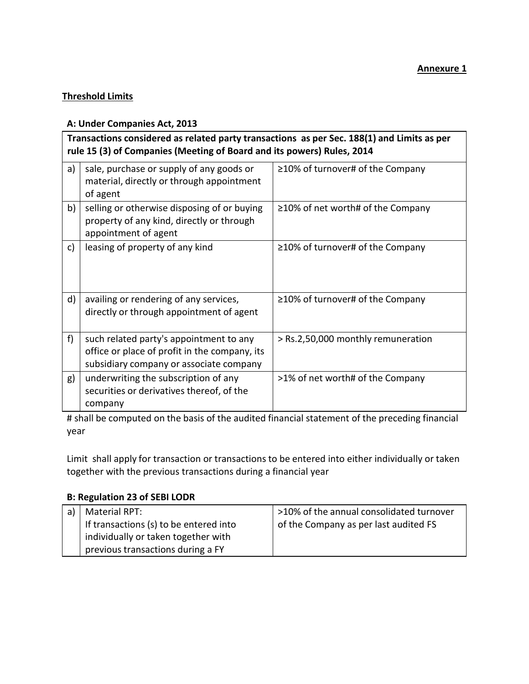## **Threshold Limits**

## **A: Under Companies Act, 2013**

| Transactions considered as related party transactions as per Sec. 188(1) and Limits as per<br>rule 15 (3) of Companies (Meeting of Board and its powers) Rules, 2014 |                                                                                                                                     |                                         |  |
|----------------------------------------------------------------------------------------------------------------------------------------------------------------------|-------------------------------------------------------------------------------------------------------------------------------------|-----------------------------------------|--|
| a)                                                                                                                                                                   | sale, purchase or supply of any goods or<br>material, directly or through appointment<br>of agent                                   | $\geq$ 10% of turnover# of the Company  |  |
| b)                                                                                                                                                                   | selling or otherwise disposing of or buying<br>property of any kind, directly or through<br>appointment of agent                    | $\geq$ 10% of net worth# of the Company |  |
| c)                                                                                                                                                                   | leasing of property of any kind                                                                                                     | $\geq$ 10% of turnover# of the Company  |  |
| d)                                                                                                                                                                   | availing or rendering of any services,<br>directly or through appointment of agent                                                  | $\geq$ 10% of turnover# of the Company  |  |
| f)                                                                                                                                                                   | such related party's appointment to any<br>office or place of profit in the company, its<br>subsidiary company or associate company | > Rs.2,50,000 monthly remuneration      |  |
| g)                                                                                                                                                                   | underwriting the subscription of any<br>securities or derivatives thereof, of the<br>company                                        | >1% of net worth# of the Company        |  |

# shall be computed on the basis of the audited financial statement of the preceding financial year

Limit shall apply for transaction or transactions to be entered into either individually or taken together with the previous transactions during a financial year

## **B: Regulation 23 of SEBI LODR**

| Material RPT:                          | >10% of the annual consolidated turnover |
|----------------------------------------|------------------------------------------|
| If transactions (s) to be entered into | of the Company as per last audited FS    |
| individually or taken together with    |                                          |
| previous transactions during a FY      |                                          |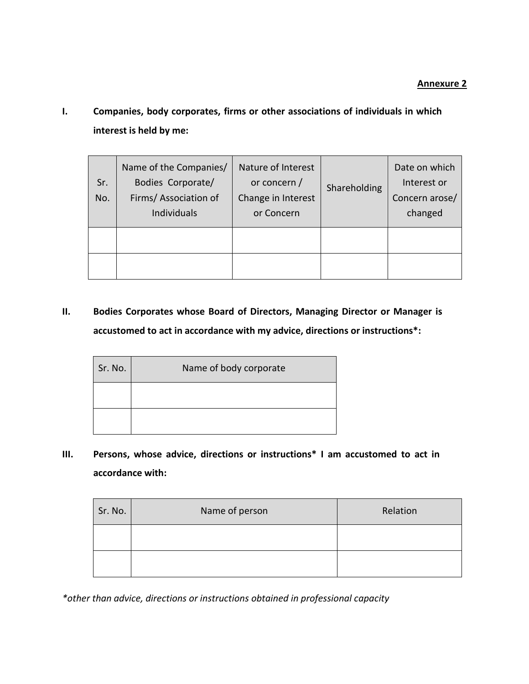**I. Companies, body corporates, firms or other associations of individuals in which interest is held by me:**

| Sr.<br>No. | Name of the Companies/<br>Bodies Corporate/<br>Firms/ Association of<br><b>Individuals</b> | Nature of Interest<br>or concern /<br>Change in Interest<br>or Concern | Shareholding | Date on which<br>Interest or<br>Concern arose/<br>changed |
|------------|--------------------------------------------------------------------------------------------|------------------------------------------------------------------------|--------------|-----------------------------------------------------------|
|            |                                                                                            |                                                                        |              |                                                           |
|            |                                                                                            |                                                                        |              |                                                           |

**II. Bodies Corporates whose Board of Directors, Managing Director or Manager is accustomed to act in accordance with my advice, directions or instructions\*:**

| Sr. No. | Name of body corporate |
|---------|------------------------|
|         |                        |
|         |                        |

**III. Persons, whose advice, directions or instructions\* I am accustomed to act in accordance with:**

| Sr. No. | Name of person | Relation |
|---------|----------------|----------|
|         |                |          |
|         |                |          |

*\*other than advice, directions or instructions obtained in professional capacity*